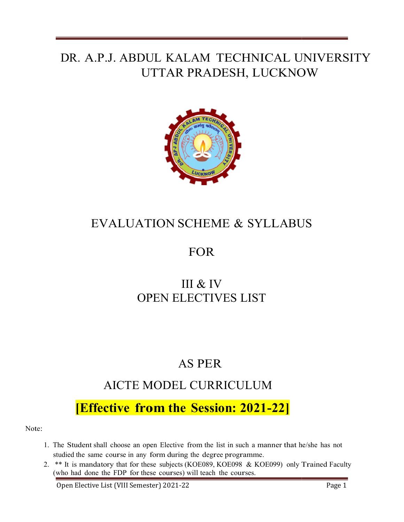# DR. A.P.J. ABDUL KALAM TECHNICAL UNIVERSITY UTTAR PRADESH, LUCKNOW



## EVALUATION SCHEME & SYLLABUS

## FOR

## OPEN ELECTIVES ELECTIVES LIST III & IV

## AS PER

# AICTE MODEL MODEL CURRICULUM

# [Effective from the Session: 2021-22]

Note:

- 1. The Student shall choose an open Elective from the list in such a manner that he/she has not studied the same course in any form during the degree programme.
- 2. \*\* It is mandatory that for these subjects (KOE089, KOE098 & KOE099) only Trained Faculty (who had done the FDP for these courses) will teach the courses.

Open Elective List (VIII Semester) 2021 2021-22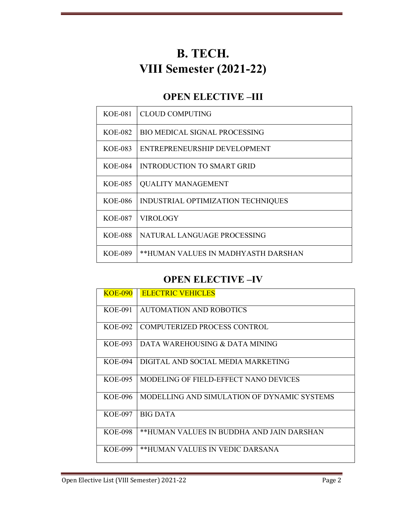# B. TECH. VIII Semester (2021-22)

### OPEN ELECTIVE –III

| KOE-081        | <b>CLOUD COMPUTING</b>              |
|----------------|-------------------------------------|
| KOE-082        | BIO MEDICAL SIGNAL PROCESSING       |
| KOE-083        | ENTREPRENEURSHIP DEVELOPMENT        |
| <b>KOE-084</b> | INTRODUCTION TO SMART GRID          |
| <b>KOE-085</b> | <b>QUALITY MANAGEMENT</b>           |
| <b>KOE-086</b> | INDUSTRIAL OPTIMIZATION TECHNIQUES  |
| <b>KOE-087</b> | <b>VIROLOGY</b>                     |
| <b>KOE-088</b> | NATURAL LANGUAGE PROCESSING         |
| <b>KOE-089</b> | **HUMAN VALUES IN MADHYASTH DARSHAN |

### OPEN ELECTIVE –IV

| <b>KOE-090</b> | <b>ELECTRIC VEHICLES</b>                    |
|----------------|---------------------------------------------|
| <b>KOE-091</b> | <b>AUTOMATION AND ROBOTICS</b>              |
| KOE-092        | COMPUTERIZED PROCESS CONTROL                |
| KOE-093        | DATA WAREHOUSING & DATA MINING              |
| KOE-094        | DIGITAL AND SOCIAL MEDIA MARKETING          |
| <b>KOE-095</b> | MODELING OF FIELD-EFFECT NANO DEVICES       |
| KOE-096        | MODELLING AND SIMULATION OF DYNAMIC SYSTEMS |
| <b>KOE-097</b> | <b>BIG DATA</b>                             |
| KOE-098        | **HUMAN VALUES IN BUDDHA AND JAIN DARSHAN   |
| <b>KOE-099</b> | **HUMAN VALUES IN VEDIC DARSANA             |
|                |                                             |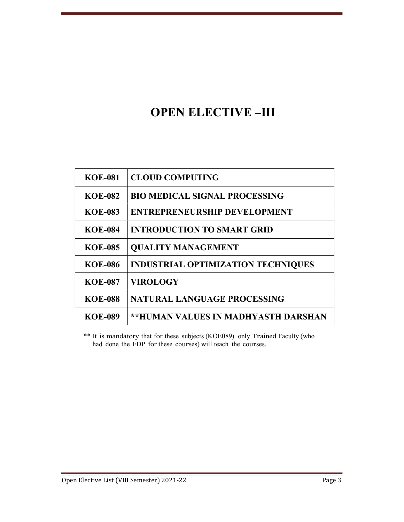# OPEN ELECTIVE –III

| <b>KOE-081</b> | <b>CLOUD COMPUTING</b>                    |
|----------------|-------------------------------------------|
| <b>KOE-082</b> | <b>BIO MEDICAL SIGNAL PROCESSING</b>      |
| <b>KOE-083</b> | <b>ENTREPRENEURSHIP DEVELOPMENT</b>       |
| <b>KOE-084</b> | <b>INTRODUCTION TO SMART GRID</b>         |
| <b>KOE-085</b> | <b>QUALITY MANAGEMENT</b>                 |
| <b>KOE-086</b> | <b>INDUSTRIAL OPTIMIZATION TECHNIQUES</b> |
| <b>KOE-087</b> | <b>VIROLOGY</b>                           |
| <b>KOE-088</b> | <b>NATURAL LANGUAGE PROCESSING</b>        |
| <b>KOE-089</b> | **HUMAN VALUES IN MADHYASTH DARSHAN       |

\*\* It is mandatory that for these subjects (KOE089) only Trained Faculty (who had done the FDP for these courses) will teach the courses.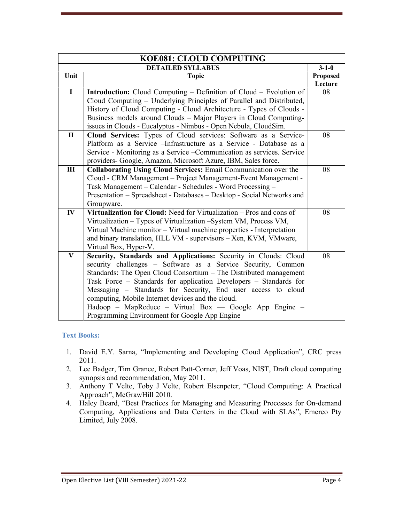| <b>KOE081: CLOUD COMPUTING</b> |                                                                           |                 |
|--------------------------------|---------------------------------------------------------------------------|-----------------|
| <b>DETAILED SYLLABUS</b>       |                                                                           | $3 - 1 - 0$     |
| Unit                           | <b>Topic</b>                                                              | <b>Proposed</b> |
|                                |                                                                           | Lecture         |
| $\mathbf{I}$                   | <b>Introduction:</b> Cloud Computing – Definition of Cloud – Evolution of | 08              |
|                                | Cloud Computing - Underlying Principles of Parallel and Distributed,      |                 |
|                                | History of Cloud Computing - Cloud Architecture - Types of Clouds -       |                 |
|                                | Business models around Clouds - Major Players in Cloud Computing-         |                 |
|                                | issues in Clouds - Eucalyptus - Nimbus - Open Nebula, CloudSim.           |                 |
| $\mathbf{I}$                   | Cloud Services: Types of Cloud services: Software as a Service-           | 08              |
|                                | Platform as a Service - Infrastructure as a Service - Database as a       |                 |
|                                | Service - Monitoring as a Service - Communication as services. Service    |                 |
|                                | providers- Google, Amazon, Microsoft Azure, IBM, Sales force.             |                 |
| III                            | <b>Collaborating Using Cloud Services: Email Communication over the</b>   | 08              |
|                                | Cloud - CRM Management - Project Management-Event Management -            |                 |
|                                | Task Management - Calendar - Schedules - Word Processing -                |                 |
|                                | Presentation – Spreadsheet - Databases – Desktop - Social Networks and    |                 |
|                                | Groupware.                                                                |                 |
| $\mathbf{I} \mathbf{V}$        | Virtualization for Cloud: Need for Virtualization – Pros and cons of      | 08              |
|                                | Virtualization - Types of Virtualization - System VM, Process VM,         |                 |
|                                | Virtual Machine monitor - Virtual machine properties - Interpretation     |                 |
|                                | and binary translation, HLL VM - supervisors - Xen, KVM, VMware,          |                 |
|                                | Virtual Box, Hyper-V.                                                     |                 |
| $\mathbf{V}$                   | Security, Standards and Applications: Security in Clouds: Cloud           | 08              |
|                                | security challenges - Software as a Service Security, Common              |                 |
|                                | Standards: The Open Cloud Consortium - The Distributed management         |                 |
|                                | Task Force – Standards for application Developers – Standards for         |                 |
|                                | Messaging - Standards for Security, End user access to cloud              |                 |
|                                | computing, Mobile Internet devices and the cloud.                         |                 |
|                                | Hadoop – MapReduce – Virtual Box — Google App Engine –                    |                 |
|                                | Programming Environment for Google App Engine                             |                 |

- 1. David E.Y. Sarna, "Implementing and Developing Cloud Application", CRC press 2011.
- 2. Lee Badger, Tim Grance, Robert Patt-Corner, Jeff Voas, NIST, Draft cloud computing synopsis and recommendation, May 2011.
- 3. Anthony T Velte, Toby J Velte, Robert Elsenpeter, "Cloud Computing: A Practical Approach", McGrawHill 2010.
- 4. Haley Beard, "Best Practices for Managing and Measuring Processes for On-demand Computing, Applications and Data Centers in the Cloud with SLAs", Emereo Pty Limited, July 2008.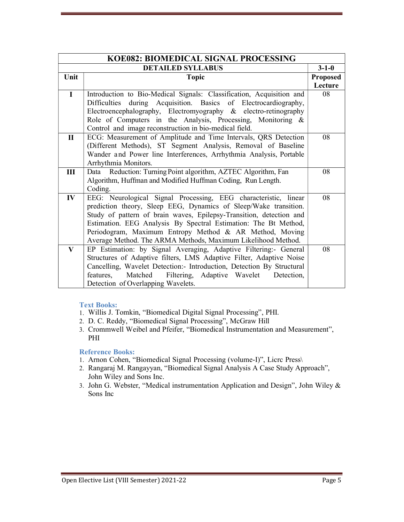| KOE082: BIOMEDICAL SIGNAL PROCESSING |                                                                                                                                                                                                                                                                                                                                                                                                          |                 |
|--------------------------------------|----------------------------------------------------------------------------------------------------------------------------------------------------------------------------------------------------------------------------------------------------------------------------------------------------------------------------------------------------------------------------------------------------------|-----------------|
| <b>DETAILED SYLLABUS</b>             |                                                                                                                                                                                                                                                                                                                                                                                                          | $3 - 1 - 0$     |
| Unit                                 | <b>Topic</b>                                                                                                                                                                                                                                                                                                                                                                                             | <b>Proposed</b> |
| $\mathbf{I}$                         | Introduction to Bio-Medical Signals: Classification, Acquisition and<br>Difficulties during Acquisition. Basics of Electrocardiography,<br>Electroencephalography, Electromyography & electro-retinography<br>Role of Computers in the Analysis, Processing, Monitoring &<br>Control and image reconstruction in bio-medical field.                                                                      | Lecture<br>08   |
| $\mathbf{I}$                         | ECG: Measurement of Amplitude and Time Intervals, QRS Detection<br>(Different Methods), ST Segment Analysis, Removal of Baseline<br>Wander and Power line Interferences, Arrhythmia Analysis, Portable<br>Arrhythmia Monitors.                                                                                                                                                                           | 08              |
| III                                  | Reduction: Turning Point algorithm, AZTEC Algorithm, Fan<br>Data<br>Algorithm, Huffman and Modified Huffman Coding, Run Length.<br>Coding.                                                                                                                                                                                                                                                               | 08              |
| $\mathbf{IV}$                        | EEG: Neurological Signal Processing, EEG characteristic, linear<br>prediction theory, Sleep EEG, Dynamics of Sleep/Wake transition.<br>Study of pattern of brain waves, Epilepsy-Transition, detection and<br>Estimation. EEG Analysis By Spectral Estimation: The Bt Method,<br>Periodogram, Maximum Entropy Method & AR Method, Moving<br>Average Method. The ARMA Methods, Maximum Likelihood Method. | 08              |
| V                                    | EP Estimation: by Signal Averaging, Adaptive Filtering:- General<br>Structures of Adaptive filters, LMS Adaptive Filter, Adaptive Noise<br>Cancelling, Wavelet Detection: Introduction, Detection By Structural<br>Matched<br>Filtering,<br>features,<br>Adaptive Wavelet<br>Detection,<br>Detection of Overlapping Wavelets.                                                                            | 08              |

- 1. Willis J. Tomkin, "Biomedical Digital Signal Processing", PHI.
- 2. D. C. Reddy, "Biomedical Signal Processing", McGraw Hill
- 3. Crommwell Weibel and Pfeifer, "Biomedical Instrumentation and Measurement", PHI

- 1. Arnon Cohen, "Biomedical Signal Processing (volume-I)", Licrc Press\
- 2. Rangaraj M. Rangayyan, "Biomedical Signal Analysis A Case Study Approach", John Wiley and Sons Inc.
- 3. John G. Webster, "Medical instrumentation Application and Design", John Wiley & Sons Inc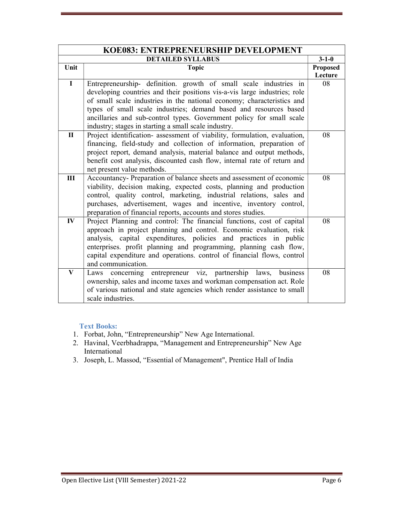| KOE083: ENTREPRENEURSHIP DEVELOPMENT |                                                                           |                 |
|--------------------------------------|---------------------------------------------------------------------------|-----------------|
| <b>DETAILED SYLLABUS</b>             |                                                                           | $3 - 1 - 0$     |
| Unit                                 | <b>Topic</b>                                                              | <b>Proposed</b> |
|                                      |                                                                           | Lecture         |
| $\mathbf{I}$                         | Entrepreneurship- definition. growth of small scale industries in         | 08              |
|                                      | developing countries and their positions vis-a-vis large industries; role |                 |
|                                      | of small scale industries in the national economy; characteristics and    |                 |
|                                      | types of small scale industries; demand based and resources based         |                 |
|                                      | ancillaries and sub-control types. Government policy for small scale      |                 |
|                                      | industry; stages in starting a small scale industry.                      |                 |
| $\mathbf{I}$                         | Project identification- assessment of viability, formulation, evaluation, | 08              |
|                                      | financing, field-study and collection of information, preparation of      |                 |
|                                      | project report, demand analysis, material balance and output methods,     |                 |
|                                      | benefit cost analysis, discounted cash flow, internal rate of return and  |                 |
|                                      | net present value methods.                                                |                 |
| III                                  | Accountancy- Preparation of balance sheets and assessment of economic     | 08              |
|                                      | viability, decision making, expected costs, planning and production       |                 |
|                                      | control, quality control, marketing, industrial relations, sales and      |                 |
|                                      | purchases, advertisement, wages and incentive, inventory control,         |                 |
|                                      | preparation of financial reports, accounts and stores studies.            |                 |
| $\mathbf{I} \mathbf{V}$              | Project Planning and control: The financial functions, cost of capital    | 08              |
|                                      | approach in project planning and control. Economic evaluation, risk       |                 |
|                                      | analysis, capital expenditures, policies and practices in public          |                 |
|                                      | enterprises. profit planning and programming, planning cash flow,         |                 |
|                                      | capital expenditure and operations. control of financial flows, control   |                 |
|                                      | and communication.                                                        |                 |
| $\bf{V}$                             | Laws concerning entrepreneur viz, partnership laws, business              | 08              |
|                                      | ownership, sales and income taxes and workman compensation act. Role      |                 |
|                                      | of various national and state agencies which render assistance to small   |                 |
|                                      | scale industries.                                                         |                 |

- 1. Forbat, John, "Entrepreneurship" New Age International.
- 2. Havinal, Veerbhadrappa, "Management and Entrepreneurship" New Age International
- 3. Joseph, L. Massod, "Essential of Management", Prentice Hall of India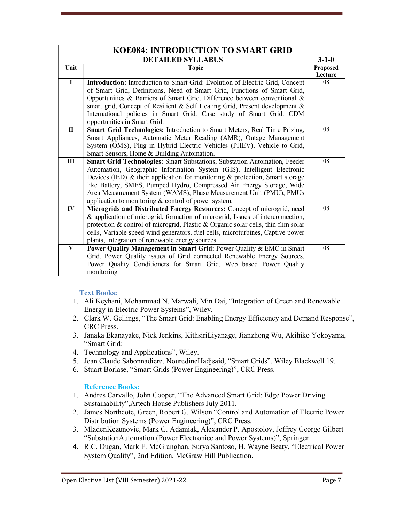| <b>KOE084: INTRODUCTION TO SMART GRID</b> |                                                                                                                                                                                                                                                                                                                                                                                                                                                   |                            |
|-------------------------------------------|---------------------------------------------------------------------------------------------------------------------------------------------------------------------------------------------------------------------------------------------------------------------------------------------------------------------------------------------------------------------------------------------------------------------------------------------------|----------------------------|
| <b>DETAILED SYLLABUS</b>                  |                                                                                                                                                                                                                                                                                                                                                                                                                                                   | $3 - 1 - 0$                |
| Unit                                      | <b>Topic</b>                                                                                                                                                                                                                                                                                                                                                                                                                                      | <b>Proposed</b><br>Lecture |
| $\mathbf I$                               | Introduction: Introduction to Smart Grid: Evolution of Electric Grid, Concept<br>of Smart Grid, Definitions, Need of Smart Grid, Functions of Smart Grid,<br>Opportunities & Barriers of Smart Grid, Difference between conventional &<br>smart grid, Concept of Resilient & Self Healing Grid, Present development &<br>International policies in Smart Grid. Case study of Smart Grid. CDM<br>opportunities in Smart Grid.                      | 08                         |
| $\mathbf{H}$                              | Smart Grid Technologies: Introduction to Smart Meters, Real Time Prizing,<br>Smart Appliances, Automatic Meter Reading (AMR), Outage Management<br>System (OMS), Plug in Hybrid Electric Vehicles (PHEV), Vehicle to Grid,<br>Smart Sensors, Home & Building Automation.                                                                                                                                                                          | 08                         |
| III                                       | Smart Grid Technologies: Smart Substations, Substation Automation, Feeder<br>Automation, Geographic Information System (GIS), Intelligent Electronic<br>Devices (IED) $\&$ their application for monitoring $\&$ protection, Smart storage<br>like Battery, SMES, Pumped Hydro, Compressed Air Energy Storage, Wide<br>Area Measurement System (WAMS), Phase Measurement Unit (PMU), PMUs<br>application to monitoring & control of power system. | 08                         |
| IV                                        | Microgrids and Distributed Energy Resources: Concept of microgrid, need<br>& application of microgrid, formation of microgrid, Issues of interconnection,<br>protection & control of microgrid, Plastic & Organic solar cells, thin flim solar<br>cells, Variable speed wind generators, fuel cells, microturbines, Captive power<br>plants, Integration of renewable energy sources.                                                             | 08                         |
| $\bf{V}$                                  | Power Quality Management in Smart Grid: Power Quality & EMC in Smart<br>Grid, Power Quality issues of Grid connected Renewable Energy Sources,<br>Power Quality Conditioners for Smart Grid, Web based Power Quality<br>monitoring                                                                                                                                                                                                                | 08                         |

- 1. Ali Keyhani, Mohammad N. Marwali, Min Dai, "Integration of Green and Renewable Energy in Electric Power Systems", Wiley.
- 2. Clark W. Gellings, "The Smart Grid: Enabling Energy Efficiency and Demand Response", CRC Press.
- 3. Janaka Ekanayake, Nick Jenkins, KithsiriLiyanage, Jianzhong Wu, Akihiko Yokoyama, "Smart Grid:
- 4. Technology and Applications", Wiley.
- 5. Jean Claude Sabonnadiere, NouredineHadjsaid, "Smart Grids", Wiley Blackwell 19.
- 6. Stuart Borlase, "Smart Grids (Power Engineering)", CRC Press.

- 1. Andres Carvallo, John Cooper, "The Advanced Smart Grid: Edge Power Driving Sustainability",Artech House Publishers July 2011.
- 2. James Northcote, Green, Robert G. Wilson "Control and Automation of Electric Power Distribution Systems (Power Engineering)", CRC Press.
- 3. MladenKezunovic, Mark G. Adamiak, Alexander P. Apostolov, Jeffrey George Gilbert "SubstationAutomation (Power Electronice and Power Systems)", Springer
- 4. R.C. Dugan, Mark F. McGranghan, Surya Santoso, H. Wayne Beaty, "Electrical Power System Quality", 2nd Edition, McGraw Hill Publication.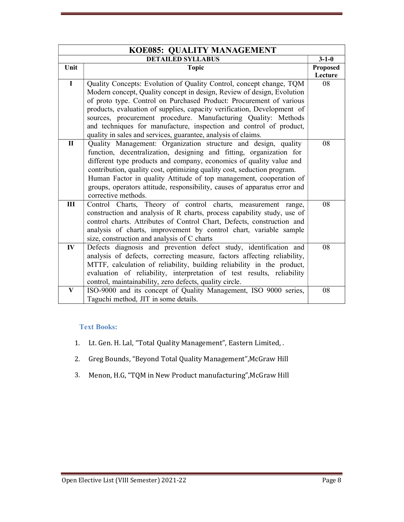|                          | KOE085: QUALITY MANAGEMENT                                                |                 |  |
|--------------------------|---------------------------------------------------------------------------|-----------------|--|
| <b>DETAILED SYLLABUS</b> |                                                                           | $3 - 1 - 0$     |  |
| Unit                     | <b>Topic</b>                                                              | <b>Proposed</b> |  |
|                          |                                                                           | Lecture         |  |
| $\mathbf I$              | Quality Concepts: Evolution of Quality Control, concept change, TQM       | 08              |  |
|                          | Modern concept, Quality concept in design, Review of design, Evolution    |                 |  |
|                          | of proto type. Control on Purchased Product: Procurement of various       |                 |  |
|                          | products, evaluation of supplies, capacity verification, Development of   |                 |  |
|                          | sources, procurement procedure. Manufacturing Quality: Methods            |                 |  |
|                          | and techniques for manufacture, inspection and control of product,        |                 |  |
|                          | quality in sales and services, guarantee, analysis of claims.             |                 |  |
| $\mathbf{I}$             | Quality Management: Organization structure and design, quality            | 08              |  |
|                          | function, decentralization, designing and fitting, organization for       |                 |  |
|                          | different type products and company, economics of quality value and       |                 |  |
|                          | contribution, quality cost, optimizing quality cost, seduction program.   |                 |  |
|                          | Human Factor in quality Attitude of top management, cooperation of        |                 |  |
|                          | groups, operators attitude, responsibility, causes of apparatus error and |                 |  |
|                          | corrective methods.                                                       |                 |  |
| $\mathbf{III}$           | Control Charts, Theory of control charts, measurement range,              | 08              |  |
|                          | construction and analysis of R charts, process capability study, use of   |                 |  |
|                          | control charts. Attributes of Control Chart, Defects, construction and    |                 |  |
|                          | analysis of charts, improvement by control chart, variable sample         |                 |  |
|                          | size, construction and analysis of C charts                               |                 |  |
| $\mathbf{IV}$            | Defects diagnosis and prevention defect study, identification and         | 08              |  |
|                          | analysis of defects, correcting measure, factors affecting reliability,   |                 |  |
|                          | MTTF, calculation of reliability, building reliability in the product,    |                 |  |
|                          | evaluation of reliability, interpretation of test results, reliability    |                 |  |
|                          | control, maintainability, zero defects, quality circle.                   |                 |  |
| $\mathbf{V}$             | ISO-9000 and its concept of Quality Management, ISO 9000 series,          | 08              |  |
|                          | Taguchi method, JIT in some details.                                      |                 |  |

- 1. Lt. Gen. H. Lal, "Total Quality Management", Eastern Limited, .
- 2. Greg Bounds, "Beyond Total Quality Management",McGraw Hill
- 3. Menon, H.G, "TQM in New Product manufacturing",McGraw Hill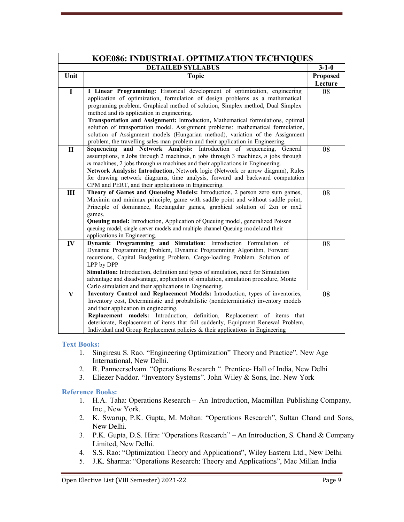| KOE086: INDUSTRIAL OPTIMIZATION TECHNIQUES |                                                                                                                                                                                                                                                                                                                                                                                                                                                                                                                                                                                                                                       |                            |
|--------------------------------------------|---------------------------------------------------------------------------------------------------------------------------------------------------------------------------------------------------------------------------------------------------------------------------------------------------------------------------------------------------------------------------------------------------------------------------------------------------------------------------------------------------------------------------------------------------------------------------------------------------------------------------------------|----------------------------|
|                                            | <b>DETAILED SYLLABUS</b>                                                                                                                                                                                                                                                                                                                                                                                                                                                                                                                                                                                                              | $3 - 1 - 0$                |
| Unit                                       | <b>Topic</b>                                                                                                                                                                                                                                                                                                                                                                                                                                                                                                                                                                                                                          | <b>Proposed</b><br>Lecture |
| $\mathbf I$                                | I Linear Programming: Historical development of optimization, engineering<br>application of optimization, formulation of design problems as a mathematical<br>programing problem. Graphical method of solution, Simplex method, Dual Simplex<br>method and its application in engineering.<br>Transportation and Assignment: Introduction, Mathematical formulations, optimal<br>solution of transportation model. Assignment problems: mathematical formulation,<br>solution of Assignment models (Hungarian method), variation of the Assignment<br>problem, the travelling sales man problem and their application in Engineering. | 08                         |
| $\mathbf{I}$                               | Sequencing and Network Analysis: Introduction of sequencing, General<br>assumptions, n Jobs through 2 machines, n jobs through 3 machines, $n$ jobs through<br>$m$ machines, 2 jobs through $m$ machines and their applications in Engineering.<br>Network Analysis: Introduction, Network logic (Network or arrow diagram), Rules<br>for drawing network diagrams, time analysis, forward and backward computation<br>CPM and PERT, and their applications in Engineering.                                                                                                                                                           | 08                         |
| III                                        | Theory of Games and Queueing Models: Introduction, 2 person zero sum games,<br>Maximin and minimax principle, game with saddle point and without saddle point,<br>Principle of dominance, Rectangular games, graphical solution of 2xn or mx2<br>games.<br>Queuing model: Introduction, Application of Queuing model, generalized Poisson<br>queuing model, single server models and multiple channel Queuing modeland their<br>applications in Engineering.                                                                                                                                                                          | 08                         |
| $I\!V$                                     | Dynamic Programming and Simulation: Introduction Formulation of<br>Dynamic Programming Problem, Dynamic Programming Algorithm, Forward<br>recursions, Capital Budgeting Problem, Cargo-loading Problem. Solution of<br>LPP by DPP<br>Simulation: Introduction, definition and types of simulation, need for Simulation<br>advantage and disadvantage, application of simulation, simulation procedure, Monte<br>Carlo simulation and their applications in Engineering.                                                                                                                                                               | 08                         |
| $\bf{V}$                                   | Inventory Control and Replacement Models: Introduction, types of inventories,<br>Inventory cost, Deterministic and probabilistic (nondeterministic) inventory models<br>and their application in engineering.<br>Replacement models: Introduction, definition, Replacement of items that<br>deteriorate, Replacement of items that fail suddenly, Equipment Renewal Problem,<br>Individual and Group Replacement policies $&$ their applications in Engineering                                                                                                                                                                       | 08                         |

- 1. Singiresu S. Rao. "Engineering Optimization" Theory and Practice". New Age International, New Delhi.
- 2. R. Panneerselvam. "Operations Research ". Prentice- Hall of India, New Delhi
- 3. Eliezer Naddor. "Inventory Systems". John Wiley & Sons, Inc. New York

- 1. H.A. Taha: Operations Research An Introduction, Macmillan Publishing Company, Inc., New York.
- 2. K. Swarup, P.K. Gupta, M. Mohan: "Operations Research", Sultan Chand and Sons, New Delhi.
- 3. P.K. Gupta, D.S. Hira: "Operations Research" An Introduction, S. Chand & Company Limited, New Delhi.
- 4. S.S. Rao: "Optimization Theory and Applications", Wiley Eastern Ltd., New Delhi.
- 5. J.K. Sharma: "Operations Research: Theory and Applications", Mac Millan India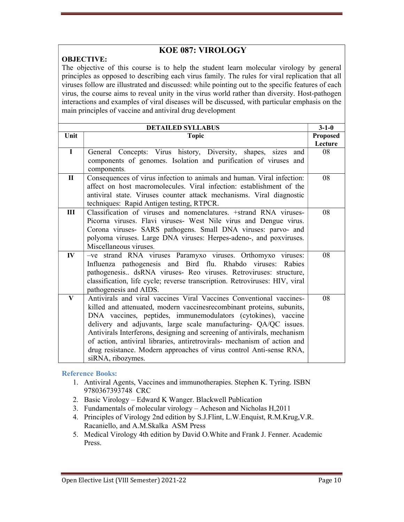### KOE 087: VIROLOGY

#### OBJECTIVE:

The objective of this course is to help the student learn molecular virology by general principles as opposed to describing each virus family. The rules for viral replication that all viruses follow are illustrated and discussed: while pointing out to the specific features of each virus, the course aims to reveal unity in the virus world rather than diversity. Host-pathogen interactions and examples of viral diseases will be discussed, with particular emphasis on the main principles of vaccine and antiviral drug development

|                         | <b>DETAILED SYLLABUS</b>                                                    | $3 - 1 - 0$     |
|-------------------------|-----------------------------------------------------------------------------|-----------------|
| Unit                    | <b>Topic</b>                                                                | <b>Proposed</b> |
|                         |                                                                             | Lecture         |
| $\overline{I}$          | General Concepts: Virus history, Diversity, shapes, sizes<br>and            | 08              |
|                         | components of genomes. Isolation and purification of viruses and            |                 |
|                         | components.                                                                 |                 |
| $\mathbf{I}$            | Consequences of virus infection to animals and human. Viral infection:      | 08              |
|                         | affect on host macromolecules. Viral infection: establishment of the        |                 |
|                         | antiviral state. Viruses counter attack mechanisms. Viral diagnostic        |                 |
|                         | techniques: Rapid Antigen testing, RTPCR.                                   |                 |
| Ш                       | Classification of viruses and nomenclatures. +strand RNA viruses-           | 08              |
|                         | Picorna viruses. Flavi viruses- West Nile virus and Dengue virus.           |                 |
|                         | Corona viruses- SARS pathogens. Small DNA viruses: parvo- and               |                 |
|                         | polyoma viruses. Large DNA viruses: Herpes-adeno-, and poxviruses.          |                 |
|                         | Miscellaneous viruses.                                                      |                 |
| $\mathbf{I} \mathbf{V}$ | -ve strand RNA viruses Paramyxo viruses. Orthomyxo viruses:                 | 08              |
|                         | Influenza pathogenesis and Bird flu. Rhabdo viruses: Rabies                 |                 |
|                         | pathogenesis dsRNA viruses- Reo viruses. Retroviruses: structure,           |                 |
|                         | classification, life cycle; reverse transcription. Retroviruses: HIV, viral |                 |
|                         | pathogenesis and AIDS.                                                      |                 |
| $\bf{V}$                | Antivirals and viral vaccines Viral Vaccines Conventional vaccines-         | 08              |
|                         | killed and attenuated, modern vaccinesrecombinant proteins, subunits,       |                 |
|                         | DNA vaccines, peptides, immunemodulators (cytokines), vaccine               |                 |
|                         | delivery and adjuvants, large scale manufacturing- QA/QC issues.            |                 |
|                         | Antivirals Interferons, designing and screening of antivirals, mechanism    |                 |
|                         | of action, antiviral libraries, antiretrovirals- mechanism of action and    |                 |
|                         | drug resistance. Modern approaches of virus control Anti-sense RNA,         |                 |
|                         | siRNA, ribozymes.                                                           |                 |

- 1. Antiviral Agents, Vaccines and immunotherapies. Stephen K. Tyring. ISBN 9780367393748 CRC
- 2. Basic Virology Edward K Wanger. Blackwell Publication
- 3. Fundamentals of molecular virology Acheson and Nicholas H,2011
- 4. Principles of Virology 2nd edition by S.J.Flint, L.W.Enquist, R.M.Krug,V.R. Racaniello, and A.M.Skalka ASM Press
- 5. Medical Virology 4th edition by David O.White and Frank J. Fenner. Academic Press.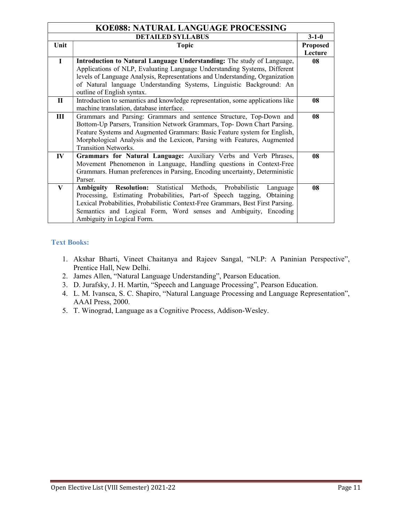| KOE088: NATURAL LANGUAGE PROCESSING |                                                                                   |                 |
|-------------------------------------|-----------------------------------------------------------------------------------|-----------------|
|                                     | <b>DETAILED SYLLABUS</b>                                                          | $3 - 1 - 0$     |
| Unit                                | <b>Topic</b>                                                                      | <b>Proposed</b> |
|                                     |                                                                                   | Lecture         |
| $\mathbf I$                         | Introduction to Natural Language Understanding: The study of Language,            | 08              |
|                                     | Applications of NLP, Evaluating Language Understanding Systems, Different         |                 |
|                                     | levels of Language Analysis, Representations and Understanding, Organization      |                 |
|                                     | of Natural language Understanding Systems, Linguistic Background: An              |                 |
|                                     | outline of English syntax.                                                        |                 |
| $\mathbf{I}$                        | Introduction to semantics and knowledge representation, some applications like    | 08              |
|                                     | machine translation, database interface.                                          |                 |
| $\mathbf{III}$                      | Grammars and Parsing: Grammars and sentence Structure, Top-Down and               | 08              |
|                                     | Bottom-Up Parsers, Transition Network Grammars, Top- Down Chart Parsing.          |                 |
|                                     | Feature Systems and Augmented Grammars: Basic Feature system for English,         |                 |
|                                     | Morphological Analysis and the Lexicon, Parsing with Features, Augmented          |                 |
|                                     | <b>Transition Networks.</b>                                                       |                 |
| $\mathbf{IV}$                       | Grammars for Natural Language: Auxiliary Verbs and Verb Phrases,                  | 08              |
|                                     | Movement Phenomenon in Language, Handling questions in Context-Free               |                 |
|                                     | Grammars. Human preferences in Parsing, Encoding uncertainty, Deterministic       |                 |
|                                     | Parser.                                                                           |                 |
| V                                   | Statistical Methods, Probabilistic<br><b>Resolution:</b><br>Ambiguity<br>Language | 08              |
|                                     | Processing, Estimating Probabilities, Part-of Speech tagging,<br>Obtaining        |                 |
|                                     | Lexical Probabilities, Probabilistic Context-Free Grammars, Best First Parsing.   |                 |
|                                     | Semantics and Logical Form, Word senses and Ambiguity, Encoding                   |                 |
|                                     | Ambiguity in Logical Form.                                                        |                 |

- 1. Akshar Bharti, Vineet Chaitanya and Rajeev Sangal, "NLP: A Paninian Perspective", Prentice Hall, New Delhi.
- 2. James Allen, "Natural Language Understanding", Pearson Education.
- 3. D. Jurafsky, J. H. Martin, "Speech and Language Processing", Pearson Education.
- 4. L. M. Ivansca, S. C. Shapiro, "Natural Language Processing and Language Representation", AAAI Press, 2000.
- 5. T. Winograd, Language as a Cognitive Process, Addison-Wesley.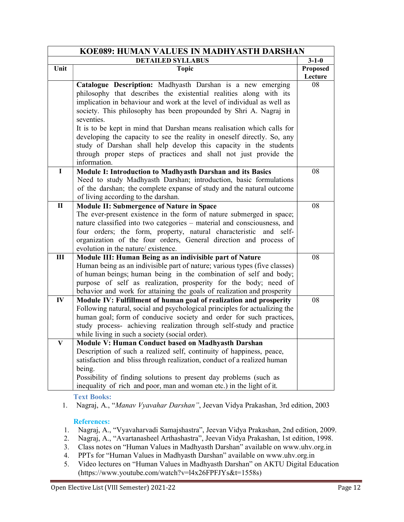|               | KOE089: HUMAN VALUES IN MADHYASTH DARSHAN                                                                                                   |                     |
|---------------|---------------------------------------------------------------------------------------------------------------------------------------------|---------------------|
|               | <b>DETAILED SYLLABUS</b>                                                                                                                    | $3 - 1 - 0$         |
| Unit          | <b>Topic</b>                                                                                                                                | Proposed<br>Lecture |
|               | Catalogue Description: Madhyasth Darshan is a new emerging                                                                                  | 08                  |
|               | philosophy that describes the existential realities along with its                                                                          |                     |
|               | implication in behaviour and work at the level of individual as well as                                                                     |                     |
|               | society. This philosophy has been propounded by Shri A. Nagraj in                                                                           |                     |
|               | seventies.                                                                                                                                  |                     |
|               | It is to be kept in mind that Darshan means realisation which calls for                                                                     |                     |
|               | developing the capacity to see the reality in oneself directly. So, any                                                                     |                     |
|               | study of Darshan shall help develop this capacity in the students                                                                           |                     |
|               | through proper steps of practices and shall not just provide the                                                                            |                     |
|               | information.                                                                                                                                |                     |
| $\mathbf I$   | Module I: Introduction to Madhyasth Darshan and its Basics                                                                                  | 08                  |
|               | Need to study Madhyasth Darshan; introduction, basic formulations                                                                           |                     |
|               | of the darshan; the complete expanse of study and the natural outcome                                                                       |                     |
|               | of living according to the darshan.                                                                                                         |                     |
| $\mathbf{I}$  | <b>Module II: Submergence of Nature in Space</b>                                                                                            | 08                  |
|               | The ever-present existence in the form of nature submerged in space;                                                                        |                     |
|               | nature classified into two categories - material and consciousness, and                                                                     |                     |
|               | four orders; the form, property, natural characteristic and self-                                                                           |                     |
|               | organization of the four orders, General direction and process of                                                                           |                     |
|               | evolution in the nature/ existence.                                                                                                         |                     |
| III           | Module III: Human Being as an indivisible part of Nature                                                                                    | 08                  |
|               | Human being as an indivisible part of nature; various types (five classes)                                                                  |                     |
|               | of human beings; human being in the combination of self and body;                                                                           |                     |
|               | purpose of self as realization, prosperity for the body; need of                                                                            |                     |
|               | behavior and work for attaining the goals of realization and prosperity                                                                     |                     |
| $\mathbf{IV}$ | Module IV: Fulfillment of human goal of realization and prosperity                                                                          | 08                  |
|               | Following natural, social and psychological principles for actualizing the                                                                  |                     |
|               | human goal; form of conducive society and order for such practices,<br>study process- achieving realization through self-study and practice |                     |
|               | while living in such a society (social order).                                                                                              |                     |
|               | Module V: Human Conduct based on Madhyasth Darshan                                                                                          |                     |
| V             | Description of such a realized self, continuity of happiness, peace,                                                                        |                     |
|               | satisfaction and bliss through realization, conduct of a realized human                                                                     |                     |
|               | being.                                                                                                                                      |                     |
|               | Possibility of finding solutions to present day problems (such as                                                                           |                     |
|               | inequality of rich and poor, man and woman etc.) in the light of it.                                                                        |                     |
|               |                                                                                                                                             |                     |

#### References:

- 1. Nagraj, A., "Vyavaharvadi Samajshastra", Jeevan Vidya Prakashan, 2nd edition, 2009.
- 2. Nagraj, A., "Avartanasheel Arthashastra", Jeevan Vidya Prakashan, 1st edition, 1998.
- 3. Class notes on "Human Values in Madhyasth Darshan" available on www.uhv.org.in
- 4. PPTs for "Human Values in Madhyasth Darshan" available on www.uhv.org.in
- 5. Video lectures on "Human Values in Madhyasth Darshan" on AKTU Digital Education (https://www.youtube.com/watch?v=l4x26FPFJYs&t=1558s)

<sup>1.</sup> Nagraj, A., "Manav Vyavahar Darshan", Jeevan Vidya Prakashan, 3rd edition, 2003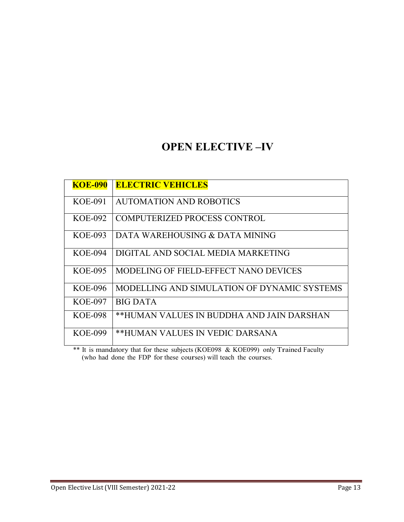### OPEN ELECTIVE –IV

| <b>KOE-090</b>                                                                | <b>ELECTRIC VEHICLES</b>                    |
|-------------------------------------------------------------------------------|---------------------------------------------|
| KOE-091                                                                       | <b>AUTOMATION AND ROBOTICS</b>              |
| <b>KOE-092</b>                                                                | COMPUTERIZED PROCESS CONTROL                |
| $KOE-093$                                                                     | DATA WAREHOUSING & DATA MINING              |
| KOE-094                                                                       | DIGITAL AND SOCIAL MEDIA MARKETING          |
| <b>KOE-095</b>                                                                | MODELING OF FIELD-EFFECT NANO DEVICES       |
| KOE-096                                                                       | MODELLING AND SIMULATION OF DYNAMIC SYSTEMS |
| <b>KOE-097</b>                                                                | <b>BIG DATA</b>                             |
| <b>KOE-098</b>                                                                | **HUMAN VALUES IN BUDDHA AND JAIN DARSHAN   |
| <b>KOE-099</b><br>$\mathbf{u} \cdot \mathbf{v} = \mathbf{v} \cdot \mathbf{v}$ | **HUMAN VALUES IN VEDIC DARSANA             |

\*\* It is mandatory that for these subjects (KOE098 & KOE099) only Trained Faculty (who had done the FDP for these courses) will teach the courses.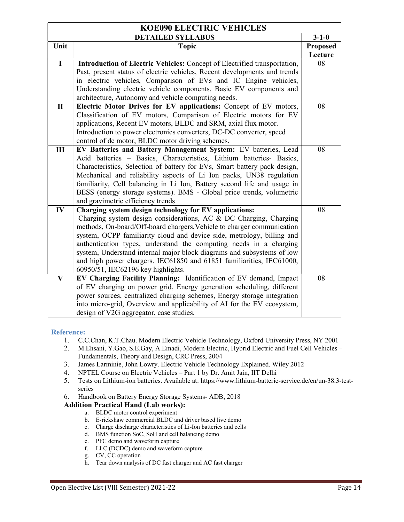|              | <b>KOE090 ELECTRIC VEHICLES</b>                                                                                                        |          |
|--------------|----------------------------------------------------------------------------------------------------------------------------------------|----------|
|              | <b>DETAILED SYLLABUS</b>                                                                                                               |          |
| Unit         | <b>Topic</b>                                                                                                                           | Proposed |
|              |                                                                                                                                        | Lecture  |
| $\mathbf I$  | Introduction of Electric Vehicles: Concept of Electrified transportation,                                                              | 08       |
|              | Past, present status of electric vehicles, Recent developments and trends                                                              |          |
|              | in electric vehicles, Comparison of EVs and IC Engine vehicles,                                                                        |          |
|              | Understanding electric vehicle components, Basic EV components and                                                                     |          |
|              | architecture, Autonomy and vehicle computing needs.                                                                                    |          |
| $\mathbf{I}$ | Electric Motor Drives for EV applications: Concept of EV motors,                                                                       | 08       |
|              | Classification of EV motors, Comparison of Electric motors for EV                                                                      |          |
|              | applications, Recent EV motors, BLDC and SRM, axial flux motor.                                                                        |          |
|              | Introduction to power electronics converters, DC-DC converter, speed                                                                   |          |
|              | control of dc motor, BLDC motor driving schemes.                                                                                       |          |
| III          | EV Batteries and Battery Management System: EV batteries, Lead<br>Acid batteries - Basics, Characteristics, Lithium batteries- Basics, | 08       |
|              | Characteristics, Selection of battery for EVs, Smart battery pack design,                                                              |          |
|              | Mechanical and reliability aspects of Li Ion packs, UN38 regulation                                                                    |          |
|              | familiarity, Cell balancing in Li Ion, Battery second life and usage in                                                                |          |
|              | BESS (energy storage systems). BMS - Global price trends, volumetric                                                                   |          |
|              | and gravimetric efficiency trends                                                                                                      |          |
| IV           | Charging system design technology for EV applications:                                                                                 | 08       |
|              | Charging system design considerations, AC & DC Charging, Charging                                                                      |          |
|              | methods, On-board/Off-board chargers, Vehicle to charger communication                                                                 |          |
|              | system, OCPP familiarity cloud and device side, metrology, billing and                                                                 |          |
|              | authentication types, understand the computing needs in a charging                                                                     |          |
|              | system, Understand internal major block diagrams and subsystems of low                                                                 |          |
|              | and high power chargers. IEC61850 and 61851 familiarities, IEC61000,                                                                   |          |
|              | 60950/51, IEC62196 key highlights.                                                                                                     |          |
| $\mathbf{V}$ | EV Charging Facility Planning: Identification of EV demand, Impact                                                                     | 08       |
|              | of EV charging on power grid, Energy generation scheduling, different                                                                  |          |
|              | power sources, centralized charging schemes, Energy storage integration                                                                |          |
|              | into micro-grid, Overview and applicability of AI for the EV ecosystem,                                                                |          |
|              | design of V2G aggregator, case studies.                                                                                                |          |

#### Reference:

- 1. C.C.Chan, K.T.Chau. Modern Electric Vehicle Technology, Oxford University Press, NY 2001
- 2. M.Ehsani, Y.Gao, S.E.Gay, A.Emadi, Modern Electric, Hybrid Electric and Fuel Cell Vehicles Fundamentals, Theory and Design, CRC Press, 2004
- 3. James Larminie, John Lowry. Electric Vehicle Technology Explained. Wiley 2012
- 4. NPTEL Course on Electric Vehicles Part 1 by Dr. Amit Jain, IIT Delhi
- 5. Tests on Lithium-ion batteries. Available at: https://www.lithium-batterie-service.de/en/un-38.3-testseries
- 6. Handbook on Battery Energy Storage Systems- ADB, 2018

#### Addition Practical Hand (Lab works):

- a. BLDC motor control experiment
- b. E-rickshaw commercial BLDC and driver based live demo
- c. Charge discharge characteristics of Li-Ion batteries and cells
- d. BMS function SoC, SoH and cell balancing demo
- e. PFC demo and waveform capture
- f. LLC (DCDC) demo and waveform capture
- g. CV, CC operation
- h. Tear down analysis of DC fast charger and AC fast charger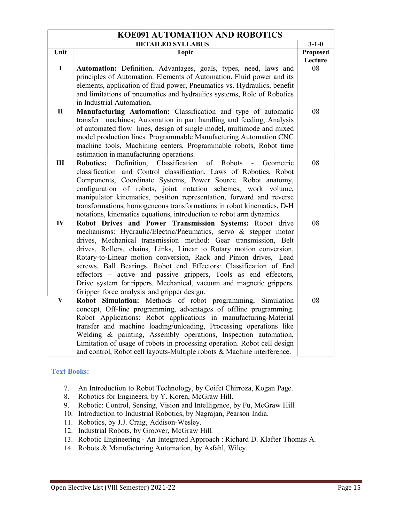| <b>KOE091 AUTOMATION AND ROBOTICS</b> |                                                                                                                                         |             |
|---------------------------------------|-----------------------------------------------------------------------------------------------------------------------------------------|-------------|
|                                       | <b>DETAILED SYLLABUS</b>                                                                                                                | $3 - 1 - 0$ |
| Unit                                  | <b>Topic</b>                                                                                                                            | Proposed    |
|                                       |                                                                                                                                         | Lecture     |
| $\overline{\mathbf{I}}$               | Automation: Definition, Advantages, goals, types, need, laws and                                                                        | 08          |
|                                       | principles of Automation. Elements of Automation. Fluid power and its                                                                   |             |
|                                       | elements, application of fluid power, Pneumatics vs. Hydraulics, benefit                                                                |             |
|                                       | and limitations of pneumatics and hydraulics systems, Role of Robotics                                                                  |             |
|                                       | in Industrial Automation.                                                                                                               |             |
| $\mathbf{I}$                          | Manufacturing Automation: Classification and type of automatic                                                                          | 08          |
|                                       | transfer machines; Automation in part handling and feeding, Analysis                                                                    |             |
|                                       | of automated flow lines, design of single model, multimode and mixed                                                                    |             |
|                                       | model production lines. Programmable Manufacturing Automation CNC                                                                       |             |
|                                       | machine tools, Machining centers, Programmable robots, Robot time                                                                       |             |
|                                       | estimation in manufacturing operations.                                                                                                 |             |
| III                                   | Definition,<br>Classification<br><b>Robotics:</b><br>of<br>Robots<br>Geometric<br>$\overline{a}$                                        | 08          |
|                                       | classification and Control classification, Laws of Robotics, Robot                                                                      |             |
|                                       | Components, Coordinate Systems, Power Source. Robot anatomy,                                                                            |             |
|                                       | configuration of robots, joint notation schemes, work volume,                                                                           |             |
|                                       | manipulator kinematics, position representation, forward and reverse                                                                    |             |
|                                       | transformations, homogeneous transformations in robot kinematics, D-H                                                                   |             |
|                                       | notations, kinematics equations, introduction to robot arm dynamics.                                                                    |             |
| $\mathbf{IV}$                         | Robot Drives and Power Transmission Systems: Robot drive                                                                                | 08          |
|                                       | mechanisms: Hydraulic/Electric/Pneumatics, servo & stepper motor                                                                        |             |
|                                       | drives, Mechanical transmission method: Gear transmission, Belt                                                                         |             |
|                                       | drives, Rollers, chains, Links, Linear to Rotary motion conversion,                                                                     |             |
|                                       | Rotary-to-Linear motion conversion, Rack and Pinion drives, Lead                                                                        |             |
|                                       | screws, Ball Bearings. Robot end Effectors: Classification of End                                                                       |             |
|                                       | effectors - active and passive grippers, Tools as end effectors,<br>Drive system for rippers. Mechanical, vacuum and magnetic grippers. |             |
|                                       | Gripper force analysis and gripper design.                                                                                              |             |
| $\overline{\mathbf{V}}$               | Robot Simulation: Methods of robot programming, Simulation                                                                              | 08          |
|                                       | concept, Off-line programming, advantages of offline programming.                                                                       |             |
|                                       | Robot Applications: Robot applications in manufacturing-Material                                                                        |             |
|                                       | transfer and machine loading/unloading, Processing operations like                                                                      |             |
|                                       | Welding & painting, Assembly operations, Inspection automation,                                                                         |             |
|                                       | Limitation of usage of robots in processing operation. Robot cell design                                                                |             |
|                                       |                                                                                                                                         |             |
|                                       | and control, Robot cell layouts-Multiple robots & Machine interference.                                                                 |             |

- 7. An Introduction to Robot Technology, by Coifet Chirroza, Kogan Page.
- 8. Robotics for Engineers, by Y. Koren, McGraw Hill.
- 9. Robotic: Control, Sensing, Vision and Intelligence, by Fu, McGraw Hill.
- 10. Introduction to Industrial Robotics, by Nagrajan, Pearson India.
- 11. Robotics, by J.J. Craig, Addison-Wesley.
- 12. Industrial Robots, by Groover, McGraw Hill.
- 13. Robotic Engineering An Integrated Approach : Richard D. Klafter Thomas A.
- 14. Robots & Manufacturing Automation, by Asfahl, Wiley.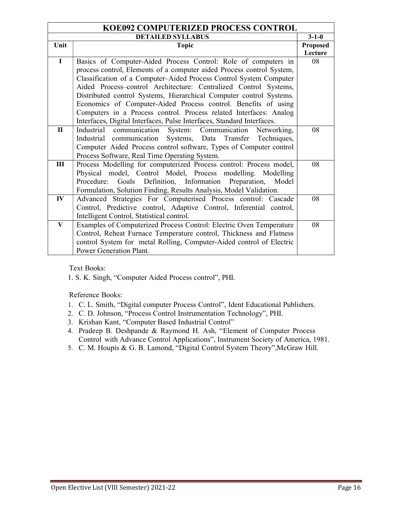| KOE092 COMPUTERIZED PROCESS CONTROL |                                                                        |             |
|-------------------------------------|------------------------------------------------------------------------|-------------|
|                                     | <b>DETAILED SYLLABUS</b>                                               | $3 - 1 - 0$ |
| Unit                                | <b>Topic</b>                                                           | Proposed    |
|                                     |                                                                        | Lecture     |
| $\mathbf I$                         | Basics of Computer-Aided Process Control: Role of computers in         | 08          |
|                                     | process control, Elements of a computer aided Process control System,  |             |
|                                     | Classification of a Computer-Aided Process Control System Computer     |             |
|                                     | Aided Process-control Architecture: Centralized Control Systems,       |             |
|                                     | Distributed control Systems, Hierarchical Computer control Systems.    |             |
|                                     | Economics of Computer-Aided Process control. Benefits of using         |             |
|                                     | Computers in a Process control. Process related Interfaces: Analog     |             |
|                                     | Interfaces, Digital Interfaces, Pulse Interfaces, Standard Interfaces. |             |
| $\mathbf{I}$                        | Industrial communication System: Communication Networking,             | 08          |
|                                     | Industrial communication Systems, Data Transfer<br>Techniques,         |             |
|                                     | Computer Aided Process control software, Types of Computer control     |             |
|                                     | Process Software, Real Time Operating System.                          |             |
| Ш                                   | Process Modelling for computerized Process control: Process model,     | 08          |
|                                     | Physical model, Control Model, Process modelling. Modelling            |             |
|                                     | Goals Definition, Information Preparation,<br>Model<br>Procedure:      |             |
|                                     | Formulation, Solution Finding, Results Analysis, Model Validation.     |             |
| $\mathbf{IV}$                       | Advanced Strategies For Computerised Process control: Cascade          | 08          |
|                                     | Control, Predictive control, Adaptive Control, Inferential control,    |             |
|                                     | Intelligent Control, Statistical control.                              |             |
| V                                   | Examples of Computerized Process Control: Electric Oven Temperature    | 08          |
|                                     | Control, Reheat Furnace Temperature control, Thickness and Flatness    |             |
|                                     | control System for metal Rolling, Computer-Aided control of Electric   |             |
|                                     | Power Generation Plant.                                                |             |

1. S. K. Singh, "Computer Aided Process control", PHI.

- 1. C. L. Smith, "Digital computer Process Control", Ident Educational Publishers.
- 2. C. D. Johnson, "Process Control Instrumentation Technology", PHI.
- 3. Krishan Kant, "Computer Based Industrial Control"
- 4. Pradeep B. Deshpande & Raymond H. Ash, "Element of Computer Process Control with Advance Control Applications", Instrument Society of America, 1981.
- 5. C. M. Houpis & G. B. Lamond, "Digital Control System Theory",McGraw Hill.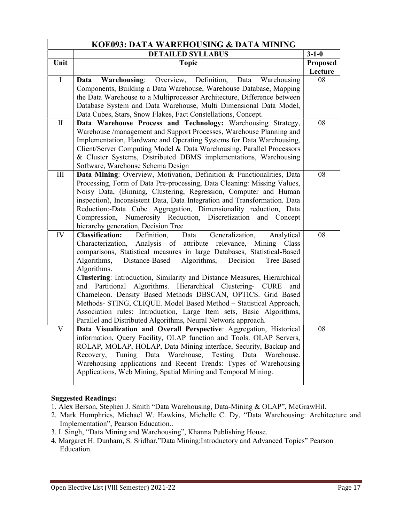| KOE093: DATA WAREHOUSING & DATA MINING |                                                                                                                                           |                 |
|----------------------------------------|-------------------------------------------------------------------------------------------------------------------------------------------|-----------------|
|                                        | <b>DETAILED SYLLABUS</b>                                                                                                                  | $3 - 1 - 0$     |
| Unit                                   | <b>Topic</b>                                                                                                                              | <b>Proposed</b> |
|                                        |                                                                                                                                           | Lecture         |
| $\mathbf I$                            | Overview, Definition,<br><b>Warehousing:</b><br>Data<br>Warehousing<br>Data                                                               | 08              |
|                                        | Components, Building a Data Warehouse, Warehouse Database, Mapping                                                                        |                 |
|                                        | the Data Warehouse to a Multiprocessor Architecture, Difference between                                                                   |                 |
|                                        | Database System and Data Warehouse, Multi Dimensional Data Model,                                                                         |                 |
|                                        | Data Cubes, Stars, Snow Flakes, Fact Constellations, Concept.                                                                             |                 |
| $\mathbf{I}$                           | Data Warehouse Process and Technology: Warehousing Strategy,                                                                              | 08              |
|                                        | Warehouse /management and Support Processes, Warehouse Planning and                                                                       |                 |
|                                        | Implementation, Hardware and Operating Systems for Data Warehousing,                                                                      |                 |
|                                        | Client/Server Computing Model & Data Warehousing. Parallel Processors<br>& Cluster Systems, Distributed DBMS implementations, Warehousing |                 |
|                                        | Software, Warehouse Schema Design                                                                                                         |                 |
| III                                    | Data Mining: Overview, Motivation, Definition & Functionalities, Data                                                                     | 08              |
|                                        | Processing, Form of Data Pre-processing, Data Cleaning: Missing Values,                                                                   |                 |
|                                        | Noisy Data, (Binning, Clustering, Regression, Computer and Human                                                                          |                 |
|                                        | inspection), Inconsistent Data, Data Integration and Transformation. Data                                                                 |                 |
|                                        | Reduction:-Data Cube Aggregation, Dimensionality reduction, Data                                                                          |                 |
|                                        | Compression, Numerosity Reduction, Discretization and Concept                                                                             |                 |
|                                        | hierarchy generation, Decision Tree                                                                                                       |                 |
| IV                                     | Definition,<br><b>Classification:</b><br>Data<br>Generalization,<br>Analytical                                                            | 08              |
|                                        | Characterization, Analysis of attribute relevance, Mining Class                                                                           |                 |
|                                        | comparisons, Statistical measures in large Databases, Statistical-Based                                                                   |                 |
|                                        | Decision<br>Algorithms,<br>Distance-Based<br>Algorithms,<br>Tree-Based                                                                    |                 |
|                                        | Algorithms.                                                                                                                               |                 |
|                                        | Clustering: Introduction, Similarity and Distance Measures, Hierarchical<br>and Partitional                                               |                 |
|                                        | Algorithms. Hierarchical Clustering- CURE<br>and<br>Chameleon. Density Based Methods DBSCAN, OPTICS. Grid Based                           |                 |
|                                        | Methods- STING, CLIQUE. Model Based Method - Statistical Approach,                                                                        |                 |
|                                        | Association rules: Introduction, Large Item sets, Basic Algorithms,                                                                       |                 |
|                                        | Parallel and Distributed Algorithms, Neural Network approach.                                                                             |                 |
| V                                      | Data Visualization and Overall Perspective: Aggregation, Historical                                                                       | 08              |
|                                        | information, Query Facility, OLAP function and Tools. OLAP Servers,                                                                       |                 |
|                                        | ROLAP, MOLAP, HOLAP, Data Mining interface, Security, Backup and                                                                          |                 |
|                                        | Tuning Data Warehouse,<br>Testing Data Warehouse.<br>Recovery,                                                                            |                 |
|                                        | Warehousing applications and Recent Trends: Types of Warehousing                                                                          |                 |
|                                        | Applications, Web Mining, Spatial Mining and Temporal Mining.                                                                             |                 |
|                                        |                                                                                                                                           |                 |

#### Suggested Readings:

1. Alex Berson, Stephen J. Smith "Data Warehousing, Data-Mining & OLAP", McGrawHil.

- 2. Mark Humphries, Michael W. Hawkins, Michelle C. Dy, "Data Warehousing: Architecture and Implementation", Pearson Education..
- 3. I. Singh, "Data Mining and Warehousing", Khanna Publishing House.
- 4. Margaret H. Dunham, S. Sridhar,"Data Mining:Introductory and Advanced Topics" Pearson Education.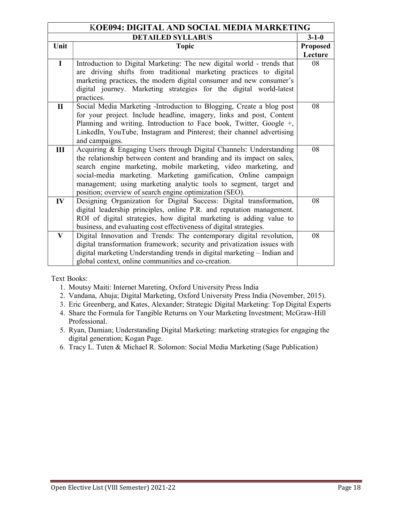| KOE094: DIGITAL AND SOCIAL MEDIA MARKETING |                                                                          |                 |
|--------------------------------------------|--------------------------------------------------------------------------|-----------------|
|                                            | <b>DETAILED SYLLABUS</b>                                                 | $3 - 1 - 0$     |
| Unit                                       | <b>Topic</b>                                                             | <b>Proposed</b> |
|                                            |                                                                          | Lecture         |
| $\mathbf I$                                | Introduction to Digital Marketing: The new digital world - trends that   | 08              |
|                                            | are driving shifts from traditional marketing practices to digital       |                 |
|                                            | marketing practices, the modern digital consumer and new consumer's      |                 |
|                                            | digital journey. Marketing strategies for the digital world-latest       |                 |
|                                            | practices.                                                               |                 |
| $\mathbf{I}$                               | Social Media Marketing -Introduction to Blogging, Create a blog post     | 08              |
|                                            | for your project. Include headline, imagery, links and post, Content     |                 |
|                                            | Planning and writing. Introduction to Face book, Twitter, Google +,      |                 |
|                                            | LinkedIn, YouTube, Instagram and Pinterest; their channel advertising    |                 |
|                                            | and campaigns.                                                           |                 |
| Ш                                          | Acquiring & Engaging Users through Digital Channels: Understanding       | 08              |
|                                            | the relationship between content and branding and its impact on sales,   |                 |
|                                            | search engine marketing, mobile marketing, video marketing, and          |                 |
|                                            | social-media marketing. Marketing gamification, Online campaign          |                 |
|                                            | management; using marketing analytic tools to segment, target and        |                 |
|                                            | position; overview of search engine optimization (SEO).                  |                 |
| $\mathbf{IV}$                              | Designing Organization for Digital Success: Digital transformation,      | 08              |
|                                            | digital leadership principles, online P.R. and reputation management.    |                 |
|                                            | ROI of digital strategies, how digital marketing is adding value to      |                 |
|                                            | business, and evaluating cost effectiveness of digital strategies.       |                 |
| $\bf{V}$                                   | Digital Innovation and Trends: The contemporary digital revolution,      | 08              |
|                                            | digital transformation framework; security and privatization issues with |                 |
|                                            | digital marketing Understanding trends in digital marketing - Indian and |                 |
|                                            | global context, online communities and co-creation.                      |                 |

- 1. Moutsy Maiti: Internet Mareting, Oxford University Press India
- 2. Vandana, Ahuja; Digital Marketing, Oxford University Press India (November, 2015).
- 3. Eric Greenberg, and Kates, Alexander; Strategic Digital Marketing: Top Digital Experts
- 4. Share the Formula for Tangible Returns on Your Marketing Investment; McGraw-Hill Professional.
- 5. Ryan, Damian; Understanding Digital Marketing: marketing strategies for engaging the digital generation; Kogan Page.
- 6. Tracy L. Tuten & Michael R. Solomon: Social Media Marketing (Sage Publication)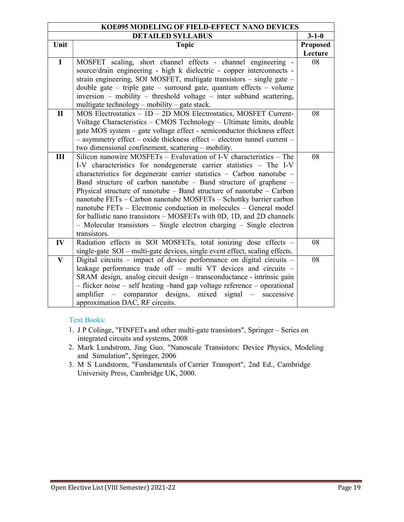| KOE095 MODELING OF FIELD-EFFECT NANO DEVICES |                                                                                            |                 |
|----------------------------------------------|--------------------------------------------------------------------------------------------|-----------------|
| <b>DETAILED SYLLABUS</b>                     |                                                                                            | $3 - 1 - 0$     |
| Unit                                         | <b>Topic</b>                                                                               | <b>Proposed</b> |
|                                              |                                                                                            | Lecture         |
| $\mathbf I$                                  | MOSFET scaling, short channel effects - channel engineering -                              | 08              |
|                                              | source/drain engineering - high k dielectric - copper interconnects -                      |                 |
|                                              | strain engineering, SOI MOSFET, multigate transistors – single gate –                      |                 |
|                                              | double gate – triple gate – surround gate, quantum effects – volume                        |                 |
|                                              | inversion – mobility – threshold voltage – inter subband scattering,                       |                 |
|                                              | multigate technology - mobility - gate stack.                                              |                 |
| $\mathbf{I}$                                 | MOS Electrostatics - 1D - 2D MOS Electrostatics, MOSFET Current-                           | 08              |
|                                              | Voltage Characteristics - CMOS Technology - Ultimate limits, double                        |                 |
|                                              | gate MOS system – gate voltage effect - semiconductor thickness effect                     |                 |
|                                              | - asymmetry effect - oxide thickness effect - electron tunnel current -                    |                 |
|                                              | two dimensional confinement, scattering – mobility.                                        |                 |
| III                                          | Silicon nanowire MOSFETs – Evaluvation of I-V characteristics – The                        | 08              |
|                                              | I-V characteristics for nondegenerate carrier statistics - The I-V                         |                 |
|                                              | characteristics for degenerate carrier statistics - Carbon nanotube -                      |                 |
|                                              | Band structure of carbon nanotube - Band structure of graphene -                           |                 |
|                                              | Physical structure of nanotube $-$ Band structure of nanotube $-$ Carbon                   |                 |
|                                              | nanotube FETs - Carbon nanotube MOSFETs - Schottky barrier carbon                          |                 |
|                                              | nanotube FETs – Electronic conduction in molecules – General model                         |                 |
|                                              | for ballistic nano transistors - MOSFETs with 0D, 1D, and 2D channels                      |                 |
|                                              | $-$ Molecular transistors $-$ Single electron charging $-$ Single electron<br>transistors. |                 |
| $\mathbf{IV}$                                | Radiation effects in SOI MOSFETs, total ionizing dose effects -                            | 08              |
|                                              | single-gate SOI - multi-gate devices, single event effect, scaling effects.                |                 |
| $\mathbf{V}$                                 | Digital circuits - impact of device performance on digital circuits -                      | 08              |
|                                              | leakage performance trade off - multi VT devices and circuits -                            |                 |
|                                              | SRAM design, analog circuit design - transconductance - intrinsic gain                     |                 |
|                                              | - flicker noise - self heating -band gap voltage reference - operational                   |                 |
|                                              | amplifier – comparator designs, mixed signal – successive                                  |                 |
|                                              | approximation DAC, RF circuits.                                                            |                 |
|                                              |                                                                                            |                 |

- 1. J P Colinge, "FINFETs and other multi-gate transistors", Springer Series on integrated circuits and systems, 2008
- 2. Mark Lundstrom, Jing Guo, "Nanoscale Transistors: Device Physics, Modeling and Simulation", Springer, 2006
- 3. M S Lundstorm, "Fundamentals of Carrier Transport", 2nd Ed., Cambridge University Press, Cambridge UK, 2000.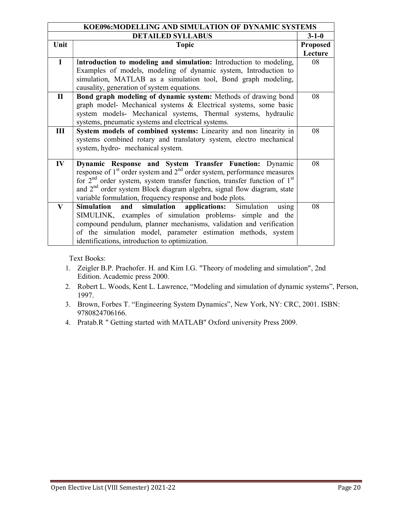| KOE096:MODELLING AND SIMULATION OF DYNAMIC SYSTEMS |                                                                                        |                 |
|----------------------------------------------------|----------------------------------------------------------------------------------------|-----------------|
|                                                    | <b>DETAILED SYLLABUS</b>                                                               | $3 - 1 - 0$     |
| Unit                                               | <b>Topic</b>                                                                           | <b>Proposed</b> |
|                                                    |                                                                                        | Lecture         |
| $\mathbf{I}$                                       | Introduction to modeling and simulation: Introduction to modeling,                     | 08              |
|                                                    | Examples of models, modeling of dynamic system, Introduction to                        |                 |
|                                                    | simulation, MATLAB as a simulation tool, Bond graph modeling,                          |                 |
|                                                    | causality, generation of system equations.                                             |                 |
| $\mathbf{I}$                                       | Bond graph modeling of dynamic system: Methods of drawing bond                         | 08              |
|                                                    | graph model- Mechanical systems & Electrical systems, some basic                       |                 |
|                                                    | system models- Mechanical systems, Thermal systems, hydraulic                          |                 |
|                                                    | systems, pneumatic systems and electrical systems.                                     |                 |
| Ш                                                  | System models of combined systems: Linearity and non linearity in                      | 08              |
|                                                    | systems combined rotary and translatory system, electro mechanical                     |                 |
|                                                    | system, hydro- mechanical system.                                                      |                 |
|                                                    |                                                                                        |                 |
| $\mathbf{IV}$                                      | Dynamic Response and System Transfer Function: Dynamic                                 | 08              |
|                                                    | response of $1st$ order system and $2nd$ order system, performance measures            |                 |
|                                                    | for $2nd$ order system, system transfer function, transfer function of 1 <sup>st</sup> |                 |
|                                                    | and 2 <sup>nd</sup> order system Block diagram algebra, signal flow diagram, state     |                 |
|                                                    | variable formulation, frequency response and bode plots.                               |                 |
| $\mathbf{V}$                                       | simulation<br>applications: Simulation<br><b>Simulation</b><br>and<br>using            | 08              |
|                                                    | SIMULINK, examples of simulation problems- simple and the                              |                 |
|                                                    | compound pendulum, planner mechanisms, validation and verification                     |                 |
|                                                    | of the simulation model, parameter estimation methods, system                          |                 |
|                                                    | identifications, introduction to optimization.                                         |                 |

- 1. Zeigler B.P. Praehofer. H. and Kim I.G. "Theory of modeling and simulation", 2nd Edition. Academic press 2000.
- 2. Robert L. Woods, Kent L. Lawrence, "Modeling and simulation of dynamic systems", Person, 1997.
- 3. Brown, Forbes T. "Engineering System Dynamics", New York, NY: CRC, 2001. ISBN: 9780824706166.
- 4. Pratab.R " Getting started with MATLAB" Oxford university Press 2009.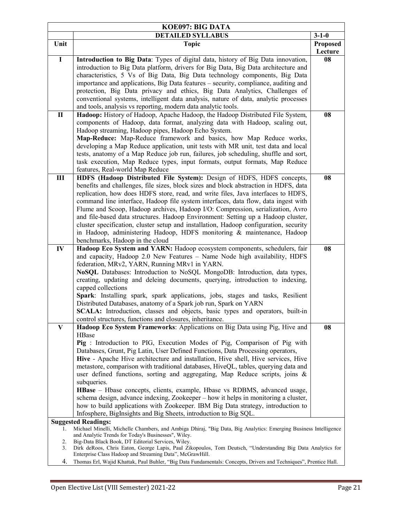| KOE097: BIG DATA                                    |                                                                                                                                                                          |               |  |
|-----------------------------------------------------|--------------------------------------------------------------------------------------------------------------------------------------------------------------------------|---------------|--|
|                                                     | <b>DETAILED SYLLABUS</b>                                                                                                                                                 | $3 - 1 - 0$   |  |
| Unit                                                | <b>Topic</b>                                                                                                                                                             | Proposed      |  |
| $\mathbf I$                                         | Introduction to Big Data: Types of digital data, history of Big Data innovation,                                                                                         | Lecture<br>08 |  |
|                                                     | introduction to Big Data platform, drivers for Big Data, Big Data architecture and                                                                                       |               |  |
|                                                     | characteristics, 5 Vs of Big Data, Big Data technology components, Big Data                                                                                              |               |  |
|                                                     | importance and applications, Big Data features - security, compliance, auditing and                                                                                      |               |  |
|                                                     | protection, Big Data privacy and ethics, Big Data Analytics, Challenges of                                                                                               |               |  |
|                                                     | conventional systems, intelligent data analysis, nature of data, analytic processes                                                                                      |               |  |
|                                                     | and tools, analysis vs reporting, modern data analytic tools.                                                                                                            |               |  |
| $\mathbf{I}$                                        | Hadoop: History of Hadoop, Apache Hadoop, the Hadoop Distributed File System,                                                                                            | 08            |  |
|                                                     | components of Hadoop, data format, analyzing data with Hadoop, scaling out,                                                                                              |               |  |
|                                                     | Hadoop streaming, Hadoop pipes, Hadoop Echo System.                                                                                                                      |               |  |
|                                                     | Map-Reduce: Map-Reduce framework and basics, how Map Reduce works,                                                                                                       |               |  |
|                                                     | developing a Map Reduce application, unit tests with MR unit, test data and local                                                                                        |               |  |
|                                                     | tests, anatomy of a Map Reduce job run, failures, job scheduling, shuffle and sort,                                                                                      |               |  |
|                                                     | task execution, Map Reduce types, input formats, output formats, Map Reduce                                                                                              |               |  |
|                                                     | features, Real-world Map Reduce                                                                                                                                          |               |  |
| III                                                 | HDFS (Hadoop Distributed File System): Design of HDFS, HDFS concepts,                                                                                                    | 08            |  |
|                                                     | benefits and challenges, file sizes, block sizes and block abstraction in HDFS, data                                                                                     |               |  |
|                                                     | replication, how does HDFS store, read, and write files, Java interfaces to HDFS,                                                                                        |               |  |
|                                                     | command line interface, Hadoop file system interfaces, data flow, data ingest with                                                                                       |               |  |
|                                                     | Flume and Scoop, Hadoop archives, Hadoop I/O: Compression, serialization, Avro                                                                                           |               |  |
|                                                     | and file-based data structures. Hadoop Environment: Setting up a Hadoop cluster,                                                                                         |               |  |
|                                                     | cluster specification, cluster setup and installation, Hadoop configuration, security                                                                                    |               |  |
|                                                     | in Hadoop, administering Hadoop, HDFS monitoring & maintenance, Hadoop                                                                                                   |               |  |
|                                                     | benchmarks, Hadoop in the cloud                                                                                                                                          |               |  |
| $\mathbf{IV}$                                       | Hadoop Eco System and YARN: Hadoop ecosystem components, schedulers, fair                                                                                                | 08            |  |
|                                                     | and capacity, Hadoop 2.0 New Features - Name Node high availability, HDFS                                                                                                |               |  |
|                                                     | federation, MRv2, YARN, Running MRv1 in YARN.                                                                                                                            |               |  |
|                                                     | NoSQL Databases: Introduction to NoSQL MongoDB: Introduction, data types,                                                                                                |               |  |
|                                                     | creating, updating and deleing documents, querying, introduction to indexing,                                                                                            |               |  |
|                                                     | capped collections                                                                                                                                                       |               |  |
|                                                     | Spark: Installing spark, spark applications, jobs, stages and tasks, Resilient                                                                                           |               |  |
|                                                     | Distributed Databases, anatomy of a Spark job run, Spark on YARN                                                                                                         |               |  |
|                                                     | SCALA: Introduction, classes and objects, basic types and operators, built-in                                                                                            |               |  |
|                                                     | control structures, functions and closures, inheritance.                                                                                                                 |               |  |
| $\bf V$                                             | Hadoop Eco System Frameworks: Applications on Big Data using Pig, Hive and                                                                                               | 08            |  |
|                                                     | HBase                                                                                                                                                                    |               |  |
|                                                     | Pig : Introduction to PIG, Execution Modes of Pig, Comparison of Pig with<br>Databases, Grunt, Pig Latin, User Defined Functions, Data Processing operators,             |               |  |
|                                                     |                                                                                                                                                                          |               |  |
|                                                     | Hive - Apache Hive architecture and installation, Hive shell, Hive services, Hive<br>metastore, comparison with traditional databases, HiveQL, tables, querying data and |               |  |
|                                                     | user defined functions, sorting and aggregating, Map Reduce scripts, joins &                                                                                             |               |  |
|                                                     | subqueries.                                                                                                                                                              |               |  |
|                                                     | HBase - Hbase concepts, clients, example, Hbase vs RDBMS, advanced usage,                                                                                                |               |  |
|                                                     | schema design, advance indexing, Zookeeper - how it helps in monitoring a cluster,                                                                                       |               |  |
|                                                     | how to build applications with Zookeeper. IBM Big Data strategy, introduction to                                                                                         |               |  |
|                                                     | Infosphere, BigInsights and Big Sheets, introduction to Big SQL.                                                                                                         |               |  |
|                                                     | <b>Suggested Readings:</b>                                                                                                                                               |               |  |
| 1.                                                  | Michael Minelli, Michelle Chambers, and Ambiga Dhiraj, "Big Data, Big Analytics: Emerging Business Intelligence                                                          |               |  |
| and Analytic Trends for Today's Businesses", Wiley. |                                                                                                                                                                          |               |  |
| 2.                                                  | Big-Data Black Book, DT Editorial Services, Wiley.                                                                                                                       |               |  |
| 3.                                                  | Dirk deRoos, Chris Eaton, George Lapis, Paul Zikopoulos, Tom Deutsch, "Understanding Big Data Analytics for<br>Enterprise Class Hadoop and Streaming Data", McGrawHill.  |               |  |

4. Thomas Erl, Wajid Khattak, Paul Buhler, "Big Data Fundamentals: Concepts, Drivers and Techniques", Prentice Hall.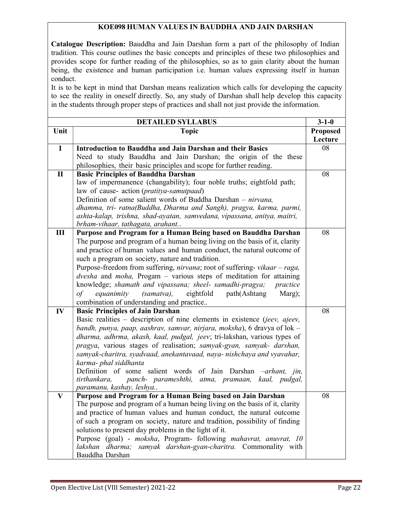### KOE098 HUMAN VALUES IN BAUDDHA AND JAIN DARSHAN

Catalogue Description: Bauddha and Jain Darshan form a part of the philosophy of Indian tradition. This course outlines the basic concepts and principles of these two philosophies and provides scope for further reading of the philosophies, so as to gain clarity about the human being, the existence and human participation i.e. human values expressing itself in human conduct.

It is to be kept in mind that Darshan means realization which calls for developing the capacity to see the reality in oneself directly. So, any study of Darshan shall help develop this capacity in the students through proper steps of practices and shall not just provide the information.

|                | <b>DETAILED SYLLABUS</b>                                                                | $3 - 1 - 0$     |
|----------------|-----------------------------------------------------------------------------------------|-----------------|
| Unit           | <b>Topic</b>                                                                            | <b>Proposed</b> |
|                |                                                                                         | Lecture         |
| $\mathbf I$    | Introduction to Bauddha and Jain Darshan and their Basics                               | 08              |
|                | Need to study Bauddha and Jain Darshan; the origin of the these                         |                 |
|                | philosophies, their basic principles and scope for further reading.                     |                 |
| $\mathbf{I}$   | <b>Basic Principles of Bauddha Darshan</b>                                              | 08              |
|                | law of impermanence (changability); four noble truths; eightfold path;                  |                 |
|                | law of cause- action (pratitya-samutpaad)                                               |                 |
|                | Definition of some salient words of Buddha Darshan - nirvana,                           |                 |
|                | dhamma, tri- ratna(Buddha, Dharma and Sangh), pragya, karma, parmi,                     |                 |
|                | ashta-kalap, trishna, shad-ayatan, samvedana, vipassana, anitya, maitri,                |                 |
|                | brham-vihaar, tathagata, arahant                                                        |                 |
| $\mathbf{III}$ | Purpose and Program for a Human Being based on Bauddha Darshan                          | 08              |
|                | The purpose and program of a human being living on the basis of it, clarity             |                 |
|                | and practice of human values and human conduct, the natural outcome of                  |                 |
|                | such a program on society, nature and tradition.                                        |                 |
|                | Purpose-freedom from suffering, nirvana; root of suffering-vikaar - raga,               |                 |
|                | dvesha and moha, Progam - various steps of meditation for attaining                     |                 |
|                | knowledge; shamath and vipassana; sheel- samadhi-pragya;<br>practice                    |                 |
|                | (samatva),<br>eightfold<br>path(Ashtang<br>$\sigma f$<br>equanimity<br>Marg);           |                 |
|                | combination of understanding and practice                                               |                 |
| IV             | <b>Basic Principles of Jain Darshan</b>                                                 | 08              |
|                | Basic realities – description of nine elements in existence (jeev, ajeev,               |                 |
|                | bandh, punya, paap, aashrav, samvar, nirjara, moksha), 6 dravya of lok -                |                 |
|                | dharma, adhrma, akash, kaal, pudgal, jeev; tri-lakshan, various types of                |                 |
|                | pragya, various stages of realisation; samyak-gyan, samyak- darshan,                    |                 |
|                | samyak-charitra, syadvaad, anekantavaad, naya- nishchaya and vyavahar,                  |                 |
|                | karma- phal siddhanta                                                                   |                 |
|                | Definition of some salient words of Jain Darshan -arhant, jin,                          |                 |
|                | tirthankara,<br>panch- parameshthi, atma, pramaan,<br>kaal, pudgal,                     |                 |
|                | paramanu, kashay, leshya                                                                |                 |
| $\mathbf{V}$   | Purpose and Program for a Human Being based on Jain Darshan                             | 08              |
|                | The purpose and program of a human being living on the basis of it, clarity             |                 |
|                | and practice of human values and human conduct, the natural outcome                     |                 |
|                | of such a program on society, nature and tradition, possibility of finding              |                 |
|                | solutions to present day problems in the light of it.                                   |                 |
|                | Purpose (goal) - moksha, Program- following mahavrat, anuvrat, 10                       |                 |
|                | samyak darshan-gyan-charitra. Commonality with<br>lakshan<br>dharma;<br>Bauddha Darshan |                 |
|                |                                                                                         |                 |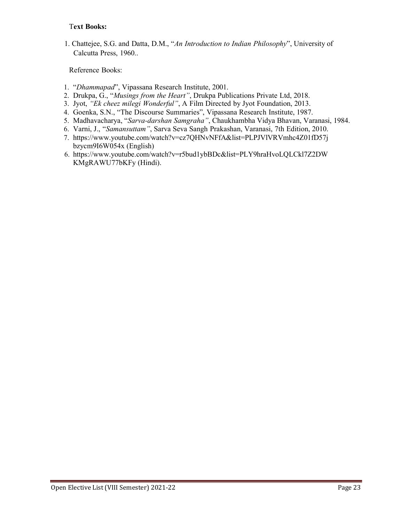1. Chattejee, S.G. and Datta, D.M., "An Introduction to Indian Philosophy", University of Calcutta Press, 1960..

- 1. "Dhammapad", Vipassana Research Institute, 2001.
- 2. Drukpa, G., "Musings from the Heart", Drukpa Publications Private Ltd, 2018.
- 3. Jyot, "Ek cheez milegi Wonderful", A Film Directed by Jyot Foundation, 2013.
- 4. Goenka, S.N., "The Discourse Summaries", Vipassana Research Institute, 1987.
- 5. Madhavacharya, "Sarva-darshan Samgraha", Chaukhambha Vidya Bhavan, Varanasi, 1984.
- 6. Varni, J., "Samansuttam", Sarva Seva Sangh Prakashan, Varanasi, 7th Edition, 2010.
- 7. https://www.youtube.com/watch?v=cz7QHNvNFfA&list=PLPJVlVRVmhc4Z01fD57j bzycm9I6W054x (English)
- 6. https://www.youtube.com/watch?v=r5bud1ybBDc&list=PLY9hraHvoLQLCkl7Z2DW KMgRAWU77bKFy (Hindi).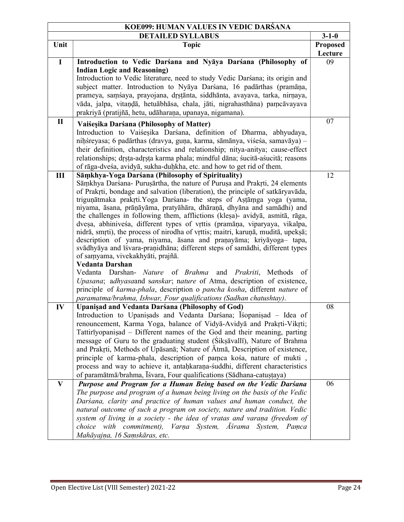| KOE099: HUMAN VALUES IN VEDIC DARŚANA |                                                                                              |             |
|---------------------------------------|----------------------------------------------------------------------------------------------|-------------|
| <b>DETAILED SYLLABUS</b>              |                                                                                              | $3 - 1 - 0$ |
| Unit                                  | <b>Topic</b>                                                                                 | Proposed    |
|                                       |                                                                                              | Lecture     |
| $\mathbf I$                           | Introduction to Vedic Darśana and Nyāya Darśana (Philosophy of                               | 09          |
|                                       | <b>Indian Logic and Reasoning)</b>                                                           |             |
|                                       | Introduction to Vedic literature, need to study Vedic Darśana; its origin and                |             |
|                                       | subject matter. Introduction to Nyaya Darśana, 16 padarthas (pramaņa,                        |             |
|                                       | prameya, samśaya, prayojana, drstānta, siddhānta, avayava, tarka, nirnaya,                   |             |
|                                       | vāda, jalpa, vitaņdā, hetuābhāsa, chala, jāti, nigrahasthāna) pamcāvayava                    |             |
|                                       | prakriyā (pratijñā, hetu, udāharaņa, upanaya, nigamana).                                     |             |
| $\mathbf{I}$                          | Vaiśesika Darśana (Philosophy of Matter)                                                     | 07          |
|                                       | Introduction to Vaisesika Darsana, definition of Dharma, abhyudaya,                          |             |
|                                       | niņśreyasa; 6 padārthas (dravya, guņa, karma, sāmānya, viśeśa, samavāya) -                   |             |
|                                       | their definition, characteristics and relationship; nitya-anitya; cause-effect               |             |
|                                       | relationships; drsta-adrsta karma phala; mindful dāna; śucitā-aśucitā; reasons               |             |
|                                       | of rāga-dveśa, avidyā, sukha-duḥkha, etc. and how to get rid of them.                        |             |
| $\mathbf{III}$                        | Sāmkhya-Yoga Darśana (Philosophy of Spirituality)                                            | 12          |
|                                       | Sāmkhya Darśana- Purusārtha, the nature of Purusa and Prakrti, 24 elements                   |             |
|                                       | of Prakrti, bondage and salvation (liberation), the principle of satkāryavāda,               |             |
|                                       | trigunātmaka prakrti. Yoga Darśana- the steps of Astāmga yoga (yama,                         |             |
|                                       | niyama, āsana, prāņāyāma, pratyāhāra, dhāraņā, dhyāna and samādhi) and                       |             |
|                                       | the challenges in following them, afflictions (klesa)- avidyā, asmitā, rāga,                 |             |
|                                       | dvesa, abhiniveśa, different types of vrttis (pramāņa, viparyaya, vikalpa,                   |             |
|                                       | nidrā, smrti), the process of nirodha of vrttis; maitri, karuņā, muditā, upeksā;             |             |
|                                       | description of yama, niyama, āsana and praņayāma; kriyāyoga- tapa,                           |             |
|                                       | svādhyāya and īśvara-praṇidhāna; different steps of samādhi, different types                 |             |
|                                       | of samyama, vivekakhyāti, prajñā.                                                            |             |
|                                       | <b>Vedanta Darshan</b>                                                                       |             |
|                                       | Vedanta<br>Darshan- <i>Nature</i> of <i>Brahma</i><br>and <i>Prakriti</i> ,<br>Methods<br>of |             |
|                                       | Upasana; adhyasaand sanskar; nature of Atma, description of existence,                       |             |
|                                       | principle of karma-phala, description o pancha kosha, different nature of                    |             |
|                                       | paramatma/brahma, Ishwar, Four qualifications (Sadhan chatushtay).                           |             |
| IV                                    | Upanisad and Vedanta Darśana (Philosophy of God)                                             | 08          |
|                                       | Introduction to Upanisads and Vedanta Darśana; Iśopanisad - Idea of                          |             |
|                                       | renouncement, Karma Yoga, balance of Vidyā-Avidyā and Prakrti-Vikrti;                        |             |
|                                       | Tattirīyopanisad - Different names of the God and their meaning, parting                     |             |
|                                       | message of Guru to the graduating student (Siksavalli), Nature of Brahma                     |             |
|                                       | and Prakrti, Methods of Upāsanā; Nature of Ātmā, Description of existence,                   |             |
|                                       | principle of karma-phala, description of pamca kośa, nature of mukti,                        |             |
|                                       | process and way to achieve it, antahkarana-suddhi, different characteristics                 |             |
|                                       | of paramātmā/brahma, Īśvara, Four qualifications (Sādhana-catustaya)                         |             |
| $\mathbf{V}$                          | Purpose and Program for a Human Being based on the Vedic Darsana                             | 06          |
|                                       | The purpose and program of a human being living on the basis of the Vedic                    |             |
|                                       | Darsana, clarity and practice of human values and human conduct, the                         |             |
|                                       | natural outcome of such a program on society, nature and tradition. Vedic                    |             |
|                                       | system of living in a society - the idea of vratas and varana (freedom of                    |             |
|                                       | choice with commitment), Varna System, Asrama System, Pamca                                  |             |
|                                       | Mahāyajņa, 16 Samskāras, etc.                                                                |             |